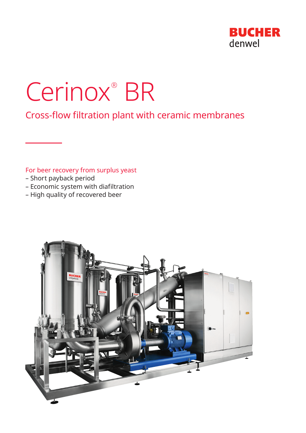

# Cerinox® BR

Cross-flow filtration plant with ceramic membranes

# For beer recovery from surplus yeast

- Short payback period
- Economic system with diafiltration
- High quality of recovered beer